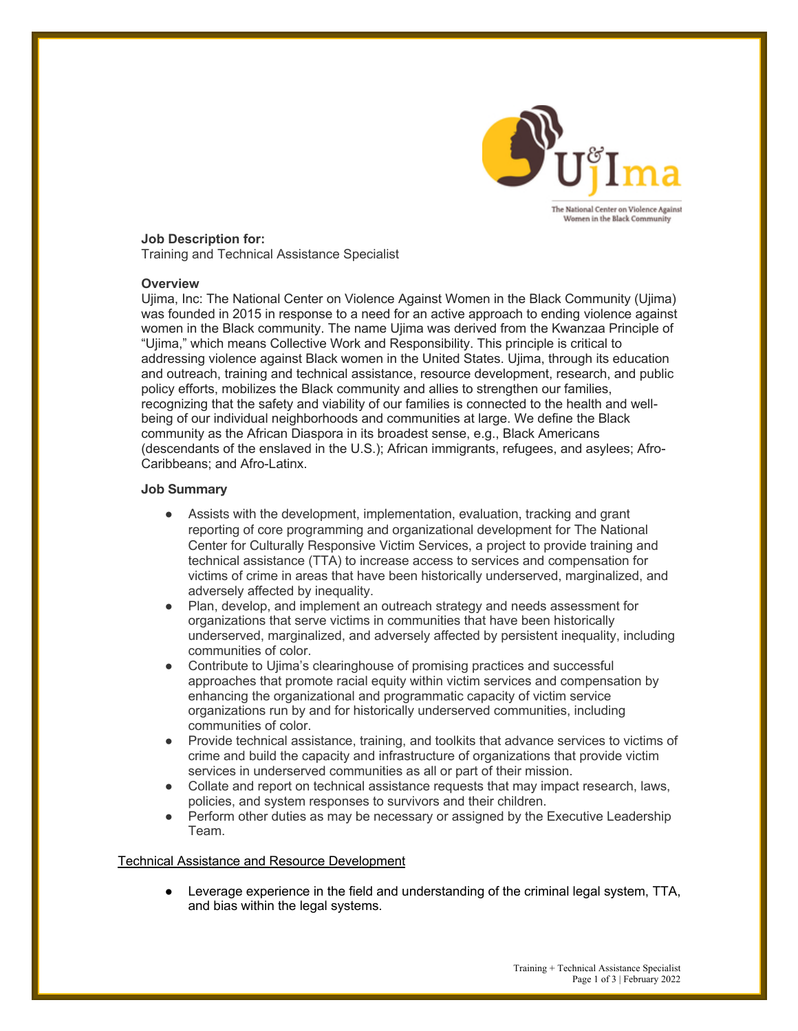

## **Job Description for:**

Training and Technical Assistance Specialist

### **Overview**

Ujima, Inc: The National Center on Violence Against Women in the Black Community (Ujima) was founded in 2015 in response to a need for an active approach to ending violence against women in the Black community. The name Ujima was derived from the Kwanzaa Principle of "Ujima," which means Collective Work and Responsibility. This principle is critical to addressing violence against Black women in the United States. Ujima, through its education and outreach, training and technical assistance, resource development, research, and public policy efforts, mobilizes the Black community and allies to strengthen our families, recognizing that the safety and viability of our families is connected to the health and wellbeing of our individual neighborhoods and communities at large. We define the Black community as the African Diaspora in its broadest sense, e.g., Black Americans (descendants of the enslaved in the U.S.); African immigrants, refugees, and asylees; Afro-Caribbeans; and Afro-Latinx.

### **Job Summary**

- Assists with the development, implementation, evaluation, tracking and grant reporting of core programming and organizational development for The National Center for Culturally Responsive Victim Services, a project to provide training and technical assistance (TTA) to increase access to services and compensation for victims of crime in areas that have been historically underserved, marginalized, and adversely affected by inequality.
- Plan, develop, and implement an outreach strategy and needs assessment for organizations that serve victims in communities that have been historically underserved, marginalized, and adversely affected by persistent inequality, including communities of color.
- Contribute to Ujima's clearinghouse of promising practices and successful approaches that promote racial equity within victim services and compensation by enhancing the organizational and programmatic capacity of victim service organizations run by and for historically underserved communities, including communities of color.
- Provide technical assistance, training, and toolkits that advance services to victims of crime and build the capacity and infrastructure of organizations that provide victim services in underserved communities as all or part of their mission.
- Collate and report on technical assistance requests that may impact research, laws, policies, and system responses to survivors and their children.
- Perform other duties as may be necessary or assigned by the Executive Leadership Team.

### Technical Assistance and Resource Development

• Leverage experience in the field and understanding of the criminal legal system, TTA, and bias within the legal systems.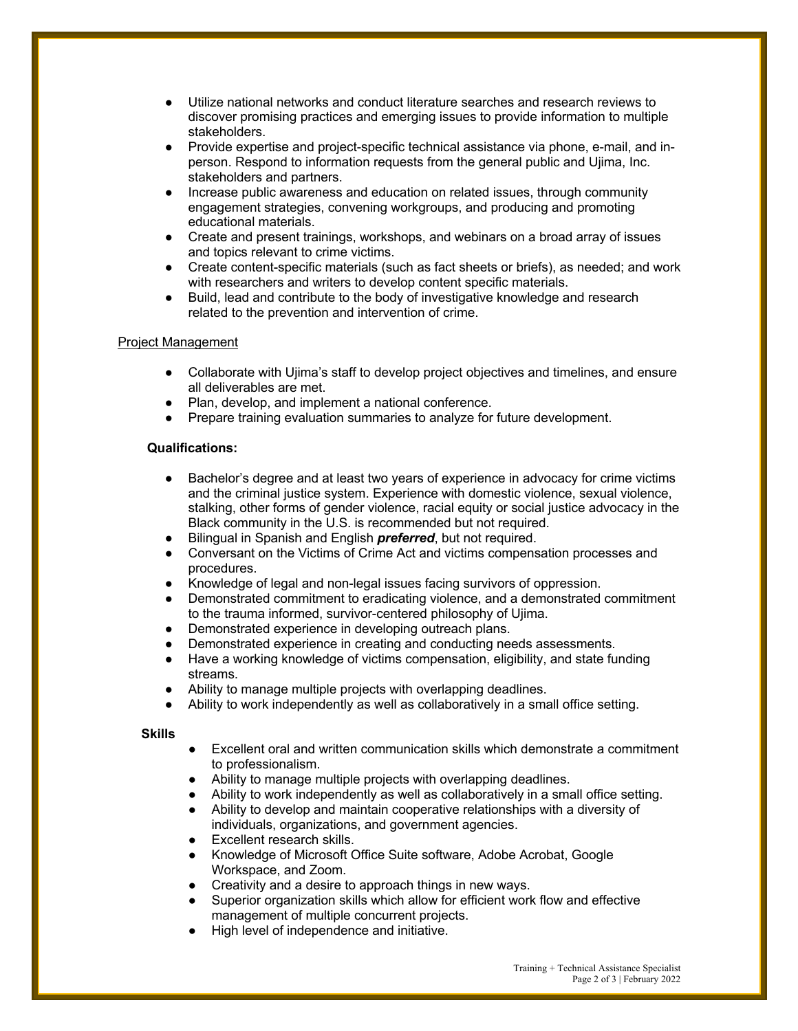- Utilize national networks and conduct literature searches and research reviews to discover promising practices and emerging issues to provide information to multiple stakeholders.
- Provide expertise and project-specific technical assistance via phone, e-mail, and inperson. Respond to information requests from the general public and Ujima, Inc. stakeholders and partners.
- Increase public awareness and education on related issues, through community engagement strategies, convening workgroups, and producing and promoting educational materials.
- Create and present trainings, workshops, and webinars on a broad array of issues and topics relevant to crime victims.
- Create content-specific materials (such as fact sheets or briefs), as needed; and work with researchers and writers to develop content specific materials.
- Build, lead and contribute to the body of investigative knowledge and research related to the prevention and intervention of crime.

# Project Management

- Collaborate with Ujima's staff to develop project objectives and timelines, and ensure all deliverables are met.
- Plan, develop, and implement a national conference.
- Prepare training evaluation summaries to analyze for future development.

## **Qualifications:**

- Bachelor's degree and at least two years of experience in advocacy for crime victims and the criminal justice system. Experience with domestic violence, sexual violence, stalking, other forms of gender violence, racial equity or social justice advocacy in the Black community in the U.S. is recommended but not required.
- Bilingual in Spanish and English *preferred*, but not required.
- Conversant on the Victims of Crime Act and victims compensation processes and procedures.
- Knowledge of legal and non-legal issues facing survivors of oppression.
- Demonstrated commitment to eradicating violence, and a demonstrated commitment to the trauma informed, survivor-centered philosophy of Ujima.
- Demonstrated experience in developing outreach plans.
- Demonstrated experience in creating and conducting needs assessments.
- Have a working knowledge of victims compensation, eligibility, and state funding streams.
- Ability to manage multiple projects with overlapping deadlines.
- Ability to work independently as well as collaboratively in a small office setting.

### **Skills**

- Excellent oral and written communication skills which demonstrate a commitment to professionalism.
- Ability to manage multiple projects with overlapping deadlines.
- Ability to work independently as well as collaboratively in a small office setting.
- Ability to develop and maintain cooperative relationships with a diversity of individuals, organizations, and government agencies.
- Excellent research skills.
- Knowledge of Microsoft Office Suite software, Adobe Acrobat, Google Workspace, and Zoom.
- Creativity and a desire to approach things in new ways.
- Superior organization skills which allow for efficient work flow and effective management of multiple concurrent projects.
- High level of independence and initiative.